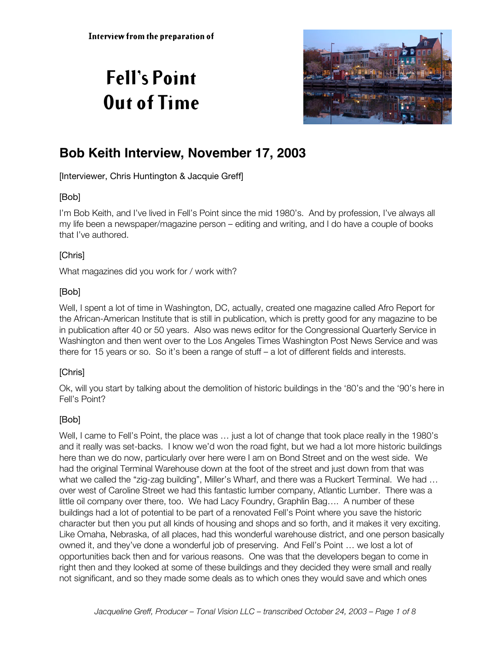# **Fell's Point Out of Time**



# **Bob Keith Interview, November 17, 2003**

[Interviewer, Chris Huntington & Jacquie Greff]

# [Bob]

I'm Bob Keith, and I've lived in Fell's Point since the mid 1980's. And by profession, I've always all my life been a newspaper/magazine person – editing and writing, and I do have a couple of books that I've authored.

# [Chris]

What magazines did you work for / work with?

# [Bob]

Well, I spent a lot of time in Washington, DC, actually, created one magazine called Afro Report for the African-American Institute that is still in publication, which is pretty good for any magazine to be in publication after 40 or 50 years. Also was news editor for the Congressional Quarterly Service in Washington and then went over to the Los Angeles Times Washington Post News Service and was there for 15 years or so. So it's been a range of stuff – a lot of different fields and interests.

# [Chris]

Ok, will you start by talking about the demolition of historic buildings in the '80's and the '90's here in Fell's Point?

# [Bob]

Well, I came to Fell's Point, the place was ... just a lot of change that took place really in the 1980's and it really was set-backs. I know we'd won the road fight, but we had a lot more historic buildings here than we do now, particularly over here were I am on Bond Street and on the west side. We had the original Terminal Warehouse down at the foot of the street and just down from that was what we called the "zig-zag building", Miller's Wharf, and there was a Ruckert Terminal. We had … over west of Caroline Street we had this fantastic lumber company, Atlantic Lumber. There was a little oil company over there, too. We had Lacy Foundry, Graphlin Bag…. A number of these buildings had a lot of potential to be part of a renovated Fell's Point where you save the historic character but then you put all kinds of housing and shops and so forth, and it makes it very exciting. Like Omaha, Nebraska, of all places, had this wonderful warehouse district, and one person basically owned it, and they've done a wonderful job of preserving. And Fell's Point … we lost a lot of opportunities back then and for various reasons. One was that the developers began to come in right then and they looked at some of these buildings and they decided they were small and really not significant, and so they made some deals as to which ones they would save and which ones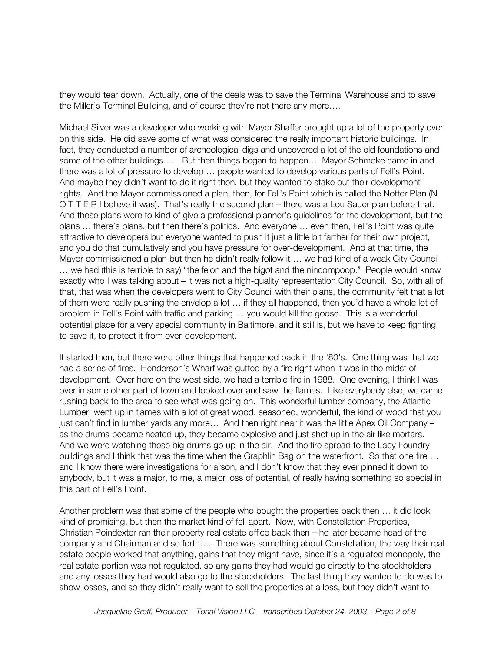they would tear down. Actually, one of the deals was to save the Terminal Warehouse and to save the Miller's Terminal Building, and of course they're not there any more….

Michael Silver was a developer who working with Mayor Shaffer brought up a lot of the property over on this side. He did save some of what was considered the really important historic buildings. In fact, they conducted a number of archeological digs and uncovered a lot of the old foundations and some of the other buildings.... But then things began to happen... Mayor Schmoke came in and there was a lot of pressure to develop … people wanted to develop various parts of Fell's Point. And maybe they didn't want to do it right then, but they wanted to stake out their development rights. And the Mayor commissioned a plan, then, for Fell's Point which is called the Notter Plan (N O T T E R I believe it was). That's really the second plan – there was a Lou Sauer plan before that. And these plans were to kind of give a professional planner's guidelines for the development, but the plans … there's plans, but then there's politics. And everyone … even then, Fell's Point was quite attractive to developers but everyone wanted to push it just a little bit farther for their own project, and you do that cumulatively and you have pressure for over-development. And at that time, the Mayor commissioned a plan but then he didn't really follow it … we had kind of a weak City Council … we had (this is terrible to say) "the felon and the bigot and the nincompoop." People would know exactly who I was talking about – it was not a high-quality representation City Council. So, with all of that, that was when the developers went to City Council with their plans, the community felt that a lot of them were really pushing the envelop a lot … if they all happened, then you'd have a whole lot of problem in Fell's Point with traffic and parking … you would kill the goose. This is a wonderful potential place for a very special community in Baltimore, and it still is, but we have to keep fighting to save it, to protect it from over-development.

It started then, but there were other things that happened back in the '80's. One thing was that we had a series of fires. Henderson's Wharf was gutted by a fire right when it was in the midst of development. Over here on the west side, we had a terrible fire in 1988. One evening, I think I was over in some other part of town and looked over and saw the flames. Like everybody else, we came rushing back to the area to see what was going on. This wonderful lumber company, the Atlantic Lumber, went up in flames with a lot of great wood, seasoned, wonderful, the kind of wood that you just can't find in lumber yards any more… And then right near it was the little Apex Oil Company – as the drums became heated up, they became explosive and just shot up in the air like mortars. And we were watching these big drums go up in the air. And the fire spread to the Lacy Foundry buildings and I think that was the time when the Graphlin Bag on the waterfront. So that one fire … and I know there were investigations for arson, and I don't know that they ever pinned it down to anybody, but it was a major, to me, a major loss of potential, of really having something so special in this part of Fell's Point.

Another problem was that some of the people who bought the properties back then … it did look kind of promising, but then the market kind of fell apart. Now, with Constellation Properties, Christian Poindexter ran their property real estate office back then – he later became head of the company and Chairman and so forth…. There was something about Constellation, the way their real estate people worked that anything, gains that they might have, since it's a regulated monopoly, the real estate portion was not regulated, so any gains they had would go directly to the stockholders and any losses they had would also go to the stockholders. The last thing they wanted to do was to show losses, and so they didn't really want to sell the properties at a loss, but they didn't want to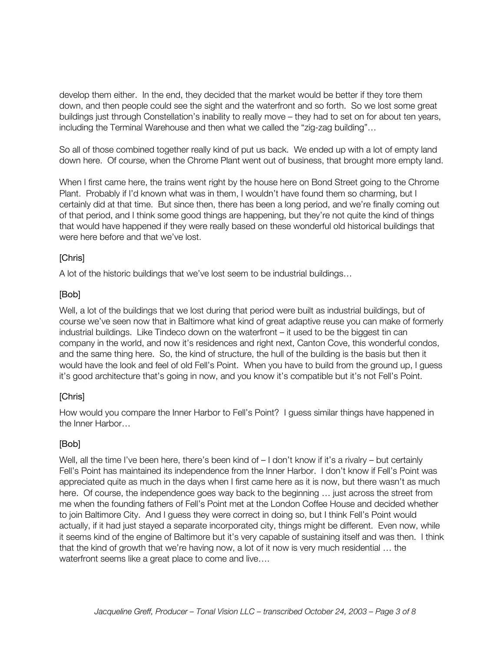develop them either. In the end, they decided that the market would be better if they tore them down, and then people could see the sight and the waterfront and so forth. So we lost some great buildings just through Constellation's inability to really move – they had to set on for about ten years, including the Terminal Warehouse and then what we called the "zig-zag building"…

So all of those combined together really kind of put us back. We ended up with a lot of empty land down here. Of course, when the Chrome Plant went out of business, that brought more empty land.

When I first came here, the trains went right by the house here on Bond Street going to the Chrome Plant. Probably if I'd known what was in them, I wouldn't have found them so charming, but I certainly did at that time. But since then, there has been a long period, and we're finally coming out of that period, and I think some good things are happening, but they're not quite the kind of things that would have happened if they were really based on these wonderful old historical buildings that were here before and that we've lost.

# [Chris]

A lot of the historic buildings that we've lost seem to be industrial buildings…

# [Bob]

Well, a lot of the buildings that we lost during that period were built as industrial buildings, but of course we've seen now that in Baltimore what kind of great adaptive reuse you can make of formerly industrial buildings. Like Tindeco down on the waterfront – it used to be the biggest tin can company in the world, and now it's residences and right next, Canton Cove, this wonderful condos, and the same thing here. So, the kind of structure, the hull of the building is the basis but then it would have the look and feel of old Fell's Point. When you have to build from the ground up, I guess it's good architecture that's going in now, and you know it's compatible but it's not Fell's Point.

# [Chris]

How would you compare the Inner Harbor to Fell's Point? I guess similar things have happened in the Inner Harbor…

# [Bob]

Well, all the time I've been here, there's been kind of  $-1$  don't know if it's a rivalry – but certainly Fell's Point has maintained its independence from the Inner Harbor. I don't know if Fell's Point was appreciated quite as much in the days when I first came here as it is now, but there wasn't as much here. Of course, the independence goes way back to the beginning … just across the street from me when the founding fathers of Fell's Point met at the London Coffee House and decided whether to join Baltimore City. And I guess they were correct in doing so, but I think Fell's Point would actually, if it had just stayed a separate incorporated city, things might be different. Even now, while it seems kind of the engine of Baltimore but it's very capable of sustaining itself and was then. I think that the kind of growth that we're having now, a lot of it now is very much residential … the waterfront seems like a great place to come and live….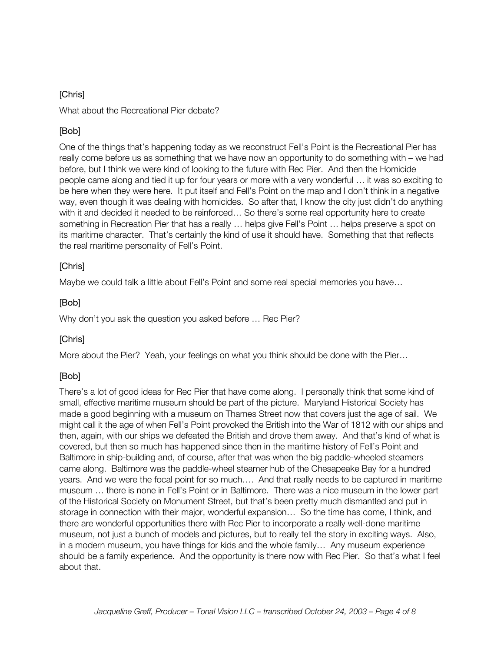# [Chris]

What about the Recreational Pier debate?

# [Bob]

One of the things that's happening today as we reconstruct Fell's Point is the Recreational Pier has really come before us as something that we have now an opportunity to do something with – we had before, but I think we were kind of looking to the future with Rec Pier. And then the Homicide people came along and tied it up for four years or more with a very wonderful … it was so exciting to be here when they were here. It put itself and Fell's Point on the map and I don't think in a negative way, even though it was dealing with homicides. So after that, I know the city just didn't do anything with it and decided it needed to be reinforced… So there's some real opportunity here to create something in Recreation Pier that has a really … helps give Fell's Point … helps preserve a spot on its maritime character. That's certainly the kind of use it should have. Something that that reflects the real maritime personality of Fell's Point.

#### [Chris]

Maybe we could talk a little about Fell's Point and some real special memories you have…

# [Bob]

Why don't you ask the question you asked before … Rec Pier?

#### [Chris]

More about the Pier? Yeah, your feelings on what you think should be done with the Pier…

# [Bob]

There's a lot of good ideas for Rec Pier that have come along. I personally think that some kind of small, effective maritime museum should be part of the picture. Maryland Historical Society has made a good beginning with a museum on Thames Street now that covers just the age of sail. We might call it the age of when Fell's Point provoked the British into the War of 1812 with our ships and then, again, with our ships we defeated the British and drove them away. And that's kind of what is covered, but then so much has happened since then in the maritime history of Fell's Point and Baltimore in ship-building and, of course, after that was when the big paddle-wheeled steamers came along. Baltimore was the paddle-wheel steamer hub of the Chesapeake Bay for a hundred years. And we were the focal point for so much…. And that really needs to be captured in maritime museum … there is none in Fell's Point or in Baltimore. There was a nice museum in the lower part of the Historical Society on Monument Street, but that's been pretty much dismantled and put in storage in connection with their major, wonderful expansion… So the time has come, I think, and there are wonderful opportunities there with Rec Pier to incorporate a really well-done maritime museum, not just a bunch of models and pictures, but to really tell the story in exciting ways. Also, in a modern museum, you have things for kids and the whole family… Any museum experience should be a family experience. And the opportunity is there now with Rec Pier. So that's what I feel about that.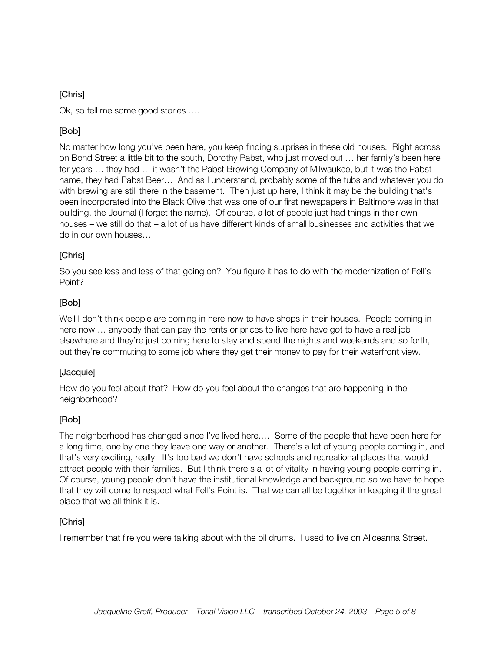#### [Chris]

Ok, so tell me some good stories ….

# [Bob]

No matter how long you've been here, you keep finding surprises in these old houses. Right across on Bond Street a little bit to the south, Dorothy Pabst, who just moved out … her family's been here for years … they had … it wasn't the Pabst Brewing Company of Milwaukee, but it was the Pabst name, they had Pabst Beer… And as I understand, probably some of the tubs and whatever you do with brewing are still there in the basement. Then just up here, I think it may be the building that's been incorporated into the Black Olive that was one of our first newspapers in Baltimore was in that building, the Journal (I forget the name). Of course, a lot of people just had things in their own houses – we still do that – a lot of us have different kinds of small businesses and activities that we do in our own houses…

#### [Chris]

So you see less and less of that going on? You figure it has to do with the modernization of Fell's Point?

# [Bob]

Well I don't think people are coming in here now to have shops in their houses. People coming in here now … anybody that can pay the rents or prices to live here have got to have a real job elsewhere and they're just coming here to stay and spend the nights and weekends and so forth, but they're commuting to some job where they get their money to pay for their waterfront view.

#### [Jacquie]

How do you feel about that? How do you feel about the changes that are happening in the neighborhood?

#### [Bob]

The neighborhood has changed since I've lived here.… Some of the people that have been here for a long time, one by one they leave one way or another. There's a lot of young people coming in, and that's very exciting, really. It's too bad we don't have schools and recreational places that would attract people with their families. But I think there's a lot of vitality in having young people coming in. Of course, young people don't have the institutional knowledge and background so we have to hope that they will come to respect what Fell's Point is. That we can all be together in keeping it the great place that we all think it is.

#### [Chris]

I remember that fire you were talking about with the oil drums. I used to live on Aliceanna Street.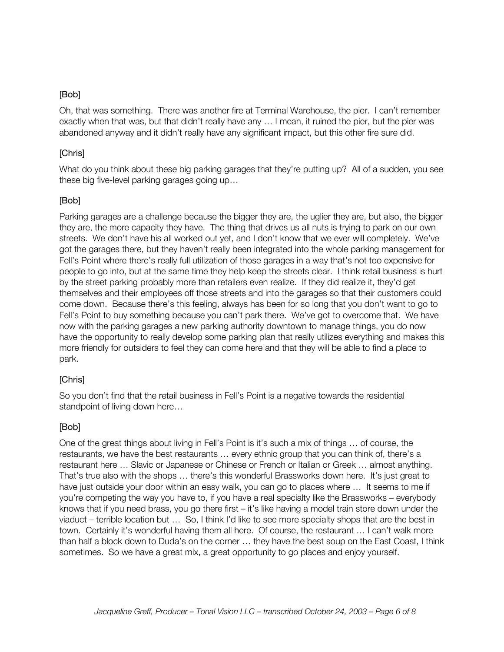#### [Bob]

Oh, that was something. There was another fire at Terminal Warehouse, the pier. I can't remember exactly when that was, but that didn't really have any … I mean, it ruined the pier, but the pier was abandoned anyway and it didn't really have any significant impact, but this other fire sure did.

#### [Chris]

What do you think about these big parking garages that they're putting up? All of a sudden, you see these big five-level parking garages going up…

#### [Bob]

Parking garages are a challenge because the bigger they are, the uglier they are, but also, the bigger they are, the more capacity they have. The thing that drives us all nuts is trying to park on our own streets. We don't have his all worked out yet, and I don't know that we ever will completely. We've got the garages there, but they haven't really been integrated into the whole parking management for Fell's Point where there's really full utilization of those garages in a way that's not too expensive for people to go into, but at the same time they help keep the streets clear. I think retail business is hurt by the street parking probably more than retailers even realize. If they did realize it, they'd get themselves and their employees off those streets and into the garages so that their customers could come down. Because there's this feeling, always has been for so long that you don't want to go to Fell's Point to buy something because you can't park there. We've got to overcome that. We have now with the parking garages a new parking authority downtown to manage things, you do now have the opportunity to really develop some parking plan that really utilizes everything and makes this more friendly for outsiders to feel they can come here and that they will be able to find a place to park.

#### [Chris]

So you don't find that the retail business in Fell's Point is a negative towards the residential standpoint of living down here…

#### [Bob]

One of the great things about living in Fell's Point is it's such a mix of things … of course, the restaurants, we have the best restaurants … every ethnic group that you can think of, there's a restaurant here … Slavic or Japanese or Chinese or French or Italian or Greek … almost anything. That's true also with the shops … there's this wonderful Brassworks down here. It's just great to have just outside your door within an easy walk, you can go to places where … It seems to me if you're competing the way you have to, if you have a real specialty like the Brassworks – everybody knows that if you need brass, you go there first – it's like having a model train store down under the viaduct – terrible location but … So, I think I'd like to see more specialty shops that are the best in town. Certainly it's wonderful having them all here. Of course, the restaurant … I can't walk more than half a block down to Duda's on the corner … they have the best soup on the East Coast, I think sometimes. So we have a great mix, a great opportunity to go places and enjoy yourself.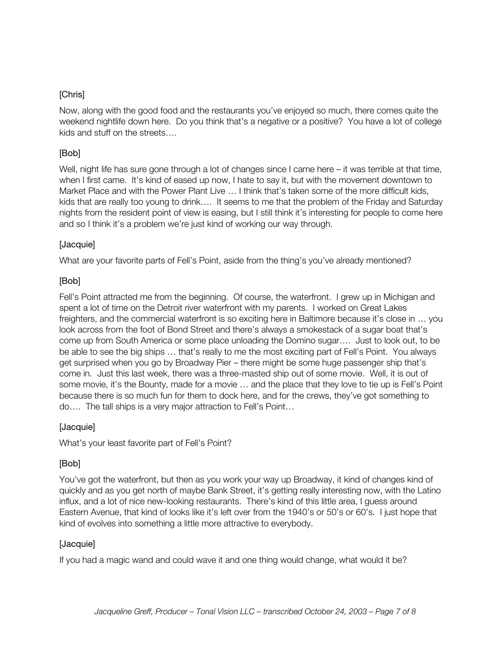#### [Chris]

Now, along with the good food and the restaurants you've enjoyed so much, there comes quite the weekend nightlife down here. Do you think that's a negative or a positive? You have a lot of college kids and stuff on the streets….

# [Bob]

Well, night life has sure gone through a lot of changes since I came here – it was terrible at that time, when I first came. It's kind of eased up now, I hate to say it, but with the movement downtown to Market Place and with the Power Plant Live … I think that's taken some of the more difficult kids, kids that are really too young to drink…. It seems to me that the problem of the Friday and Saturday nights from the resident point of view is easing, but I still think it's interesting for people to come here and so I think it's a problem we're just kind of working our way through.

#### [Jacquie]

What are your favorite parts of Fell's Point, aside from the thing's you've already mentioned?

#### [Bob]

Fell's Point attracted me from the beginning. Of course, the waterfront. I grew up in Michigan and spent a lot of time on the Detroit river waterfront with my parents. I worked on Great Lakes freighters, and the commercial waterfront is so exciting here in Baltimore because it's close in … you look across from the foot of Bond Street and there's always a smokestack of a sugar boat that's come up from South America or some place unloading the Domino sugar…. Just to look out, to be be able to see the big ships … that's really to me the most exciting part of Fell's Point. You always get surprised when you go by Broadway Pier – there might be some huge passenger ship that's come in. Just this last week, there was a three-masted ship out of some movie. Well, it is out of some movie, it's the Bounty, made for a movie ... and the place that they love to tie up is Fell's Point because there is so much fun for them to dock here, and for the crews, they've got something to do…. The tall ships is a very major attraction to Fell's Point…

#### [Jacquie]

What's your least favorite part of Fell's Point?

# [Bob]

You've got the waterfront, but then as you work your way up Broadway, it kind of changes kind of quickly and as you get north of maybe Bank Street, it's getting really interesting now, with the Latino influx, and a lot of nice new-looking restaurants. There's kind of this little area, I guess around Eastern Avenue, that kind of looks like it's left over from the 1940's or 50's or 60's. I just hope that kind of evolves into something a little more attractive to everybody.

#### [Jacquie]

If you had a magic wand and could wave it and one thing would change, what would it be?